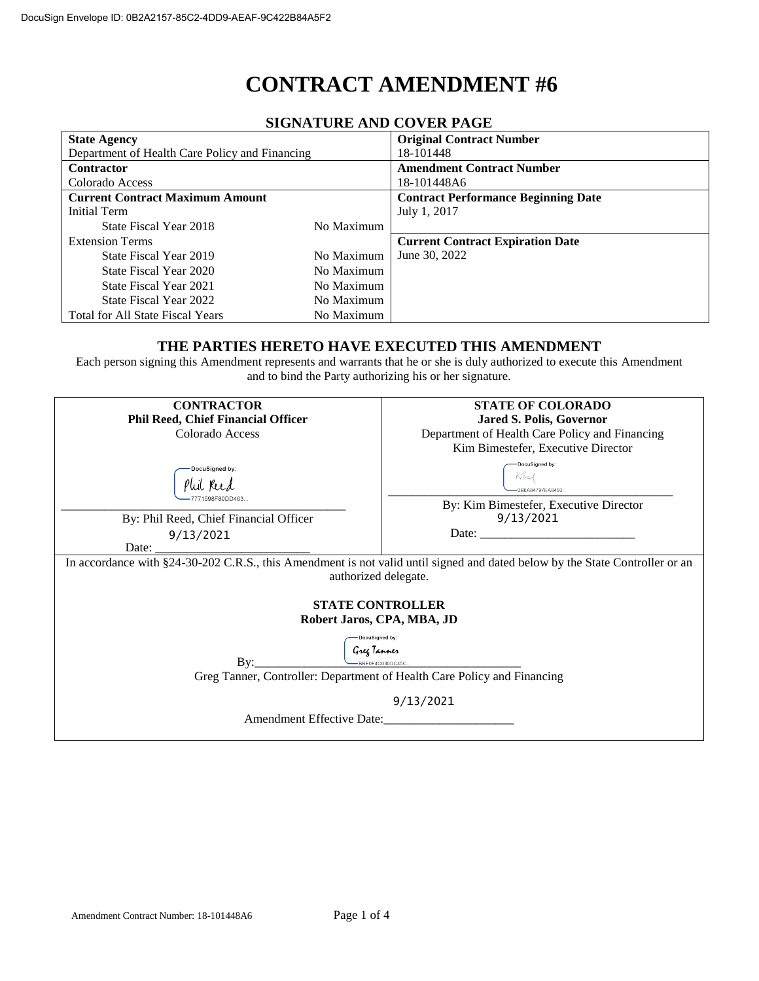# **CONTRACT AMENDMENT #6**

| biona i cine and cover l'age                   |            |                                            |  |
|------------------------------------------------|------------|--------------------------------------------|--|
| <b>State Agency</b>                            |            | <b>Original Contract Number</b>            |  |
| Department of Health Care Policy and Financing |            | 18-101448                                  |  |
| <b>Contractor</b>                              |            | <b>Amendment Contract Number</b>           |  |
| Colorado Access                                |            | 18-101448A6                                |  |
| <b>Current Contract Maximum Amount</b>         |            | <b>Contract Performance Beginning Date</b> |  |
| Initial Term                                   |            | July 1, 2017                               |  |
| State Fiscal Year 2018                         | No Maximum |                                            |  |
| <b>Extension Terms</b>                         |            | <b>Current Contract Expiration Date</b>    |  |
| State Fiscal Year 2019                         | No Maximum | June 30, 2022                              |  |
| State Fiscal Year 2020                         | No Maximum |                                            |  |
| State Fiscal Year 2021                         | No Maximum |                                            |  |
| State Fiscal Year 2022                         | No Maximum |                                            |  |
| <b>Total for All State Fiscal Years</b>        | No Maximum |                                            |  |

# **SIGNATURE AND COVER PAGE**

#### **THE PARTIES HERETO HAVE EXECUTED THIS AMENDMENT**

Each person signing this Amendment represents and warrants that he or she is duly authorized to execute this Amendment and to bind the Party authorizing his or her signature.

| <b>CONTRACTOR</b>                                                                                                                                                                                             | <b>STATE OF COLORADO</b>                                                      |  |  |
|---------------------------------------------------------------------------------------------------------------------------------------------------------------------------------------------------------------|-------------------------------------------------------------------------------|--|--|
| <b>Phil Reed, Chief Financial Officer</b>                                                                                                                                                                     | <b>Jared S. Polis, Governor</b>                                               |  |  |
| Colorado Access                                                                                                                                                                                               | Department of Health Care Policy and Financing                                |  |  |
|                                                                                                                                                                                                               | Kim Bimestefer, Executive Director                                            |  |  |
| DocuSigned by:<br>By: Phil Reed, Chief Financial Officer                                                                                                                                                      | DocuSigned by:<br>Kßad<br>By: Kim Bimestefer, Executive Director<br>9/13/2021 |  |  |
|                                                                                                                                                                                                               |                                                                               |  |  |
| 9/13/2021<br>Date:                                                                                                                                                                                            |                                                                               |  |  |
| In accordance with §24-30-202 C.R.S., this Amendment is not valid until signed and dated below by the State Controller or an<br>authorized delegate.<br><b>STATE CONTROLLER</b><br>Robert Jaros, CPA, MBA, JD |                                                                               |  |  |
| DocuSigned by:                                                                                                                                                                                                |                                                                               |  |  |
| Greg Tanner<br><u>—BBE0F4C030DC45C…</u> ___________________                                                                                                                                                   |                                                                               |  |  |
| Greg Tanner, Controller: Department of Health Care Policy and Financing                                                                                                                                       |                                                                               |  |  |
| 9/13/2021                                                                                                                                                                                                     |                                                                               |  |  |
| Amendment Effective Date:                                                                                                                                                                                     |                                                                               |  |  |
|                                                                                                                                                                                                               |                                                                               |  |  |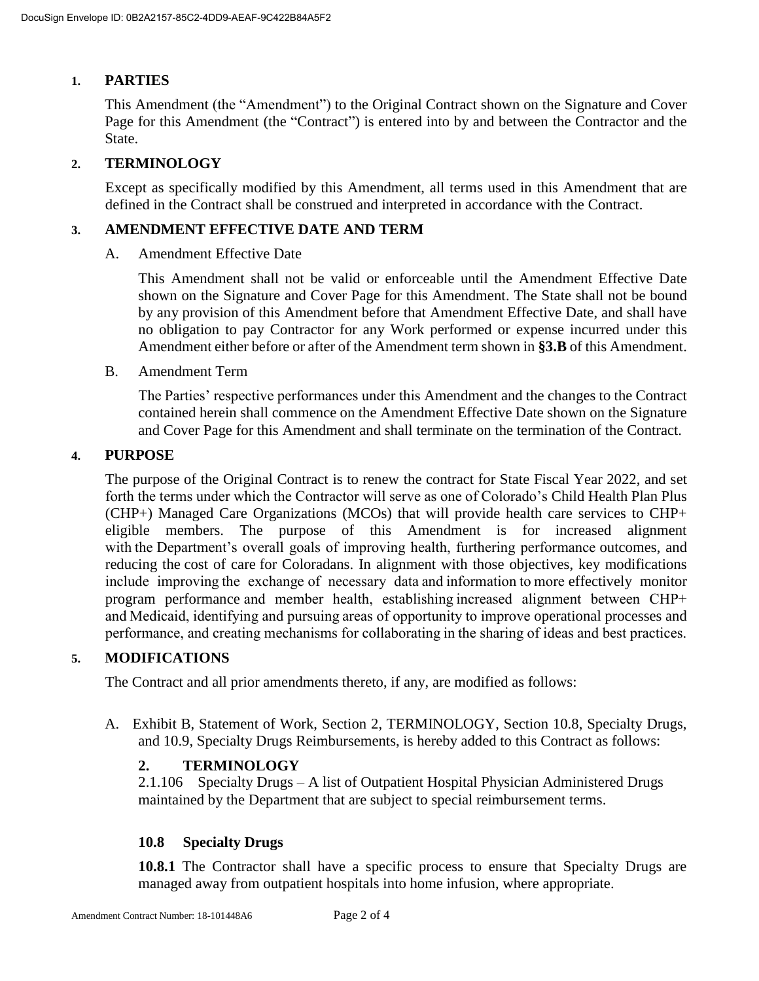# **1. PARTIES**

This Amendment (the "Amendment") to the Original Contract shown on the Signature and Cover Page for this Amendment (the "Contract") is entered into by and between the Contractor and the State.

# **2. TERMINOLOGY**

Except as specifically modified by this Amendment, all terms used in this Amendment that are defined in the Contract shall be construed and interpreted in accordance with the Contract.

#### **3. AMENDMENT EFFECTIVE DATE AND TERM**

A. Amendment Effective Date

This Amendment shall not be valid or enforceable until the Amendment Effective Date shown on the Signature and Cover Page for this Amendment. The State shall not be bound by any provision of this Amendment before that Amendment Effective Date, and shall have no obligation to pay Contractor for any Work performed or expense incurred under this Amendment either before or after of the Amendment term shown in **[§3.B](#page--1-0)** of this Amendment.

B. Amendment Term

The Parties' respective performances under this Amendment and the changes to the Contract contained herein shall commence on the Amendment Effective Date shown on the Signature and Cover Page for this Amendment and shall terminate on the termination of the Contract.

#### **4. PURPOSE**

The purpose of the Original Contract is to renew the contract for State Fiscal Year 2022, and set forth the terms under which the Contractor will serve as one of Colorado's Child Health Plan Plus (CHP+) Managed Care Organizations (MCOs) that will provide health care services to CHP+ eligible members. The purpose of this Amendment is for increased alignment with the Department's overall goals of improving health, furthering performance outcomes, and reducing the cost of care for Coloradans. In alignment with those objectives, key modifications include improving the exchange of necessary data and information to more effectively monitor program performance and member health, establishing increased alignment between CHP+ and Medicaid, identifying and pursuing areas of opportunity to improve operational processes and performance, and creating mechanisms for collaborating in the sharing of ideas and best practices.

#### **5. MODIFICATIONS**

The Contract and all prior amendments thereto, if any, are modified as follows:

A. Exhibit B, Statement of Work, Section 2, TERMINOLOGY, Section 10.8, Specialty Drugs, and 10.9, Specialty Drugs Reimbursements, is hereby added to this Contract as follows:

#### **2. TERMINOLOGY**

2.1.106 Specialty Drugs – A list of Outpatient Hospital Physician Administered Drugs maintained by the Department that are subject to special reimbursement terms.

#### **10.8 Specialty Drugs**

**10.8.1** The Contractor shall have a specific process to ensure that Specialty Drugs are managed away from outpatient hospitals into home infusion, where appropriate.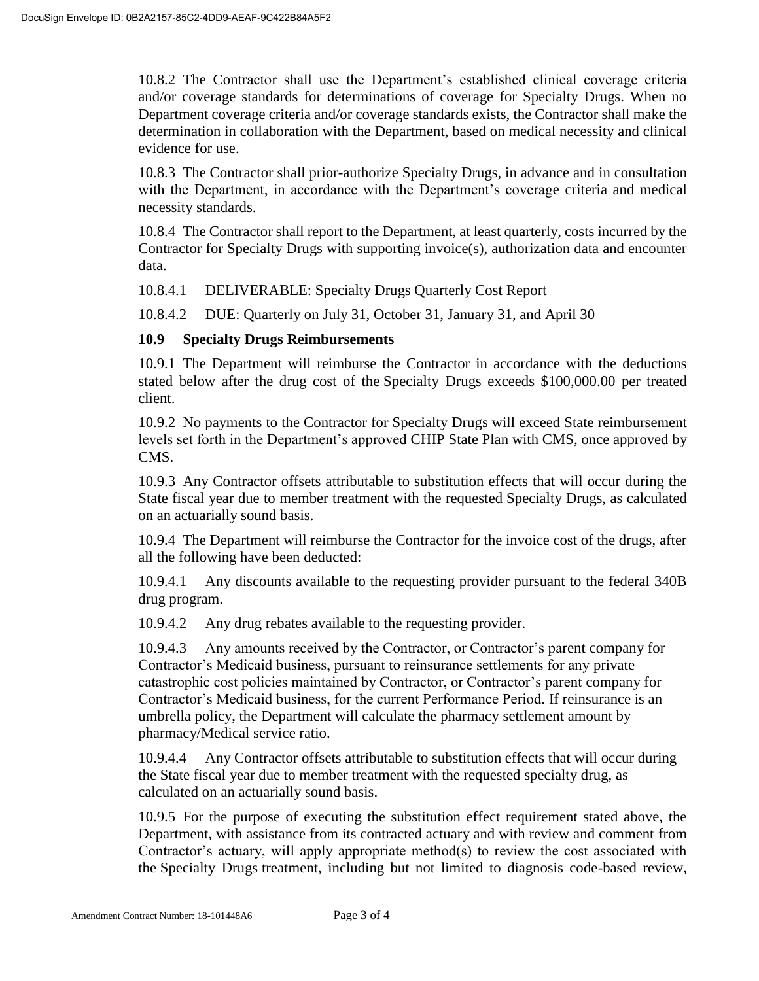10.8.2 The Contractor shall use the Department's established clinical coverage criteria and/or coverage standards for determinations of coverage for Specialty Drugs. When no Department coverage criteria and/or coverage standards exists, the Contractor shall make the determination in collaboration with the Department, based on medical necessity and clinical evidence for use.

10.8.3 The Contractor shall prior-authorize Specialty Drugs, in advance and in consultation with the Department, in accordance with the Department's coverage criteria and medical necessity standards.

10.8.4 The Contractor shall report to the Department, at least quarterly, costs incurred by the Contractor for Specialty Drugs with supporting invoice(s), authorization data and encounter data.

10.8.4.1 DELIVERABLE: Specialty Drugs Quarterly Cost Report

10.8.4.2 DUE: Quarterly on July 31, October 31, January 31, and April 30

# **10.9 Specialty Drugs Reimbursements**

10.9.1 The Department will reimburse the Contractor in accordance with the deductions stated below after the drug cost of the Specialty Drugs exceeds \$100,000.00 per treated client.

10.9.2 No payments to the Contractor for Specialty Drugs will exceed State reimbursement levels set forth in the Department's approved CHIP State Plan with CMS, once approved by CMS.

10.9.3 Any Contractor offsets attributable to substitution effects that will occur during the State fiscal year due to member treatment with the requested Specialty Drugs, as calculated on an actuarially sound basis.

10.9.4 The Department will reimburse the Contractor for the invoice cost of the drugs, after all the following have been deducted:

10.9.4.1 Any discounts available to the requesting provider pursuant to the federal 340B drug program.

10.9.4.2 Any drug rebates available to the requesting provider.

10.9.4.3 Any amounts received by the Contractor, or Contractor's parent company for Contractor's Medicaid business, pursuant to reinsurance settlements for any private catastrophic cost policies maintained by Contractor, or Contractor's parent company for Contractor's Medicaid business, for the current Performance Period. If reinsurance is an umbrella policy, the Department will calculate the pharmacy settlement amount by pharmacy/Medical service ratio.

10.9.4.4 Any Contractor offsets attributable to substitution effects that will occur during the State fiscal year due to member treatment with the requested specialty drug, as calculated on an actuarially sound basis.

10.9.5 For the purpose of executing the substitution effect requirement stated above, the Department, with assistance from its contracted actuary and with review and comment from Contractor's actuary, will apply appropriate method(s) to review the cost associated with the Specialty Drugs treatment, including but not limited to diagnosis code-based review,